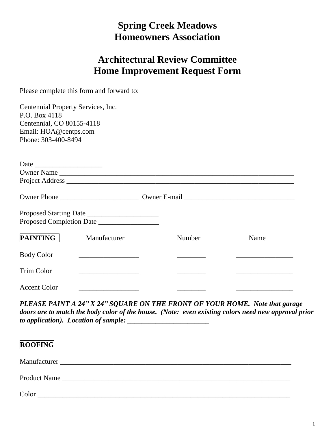## **Spring Creek Meadows Homeowners Association**

## **Architectural Review Committee Home Improvement Request Form**

Please complete this form and forward to:

| Centennial Property Services, Inc.<br>P.O. Box 4118 |                                                       |        |      |  |  |  |
|-----------------------------------------------------|-------------------------------------------------------|--------|------|--|--|--|
| Centennial, CO 80155-4118                           |                                                       |        |      |  |  |  |
| Email: HOA@centps.com                               |                                                       |        |      |  |  |  |
| Phone: 303-400-8494                                 |                                                       |        |      |  |  |  |
| Date                                                |                                                       |        |      |  |  |  |
|                                                     | Owner Name                                            |        |      |  |  |  |
|                                                     |                                                       |        |      |  |  |  |
|                                                     |                                                       |        |      |  |  |  |
|                                                     |                                                       |        |      |  |  |  |
|                                                     |                                                       |        |      |  |  |  |
| <b>PAINTING</b>                                     | Manufacturer                                          | Number | Name |  |  |  |
| <b>Body Color</b>                                   | <u> 1989 - Johann Barn, fransk politik fotograf (</u> |        |      |  |  |  |
| Trim Color                                          |                                                       |        |      |  |  |  |
| <b>Accent Color</b>                                 |                                                       |        |      |  |  |  |

*PLEASE PAINT A 24" X 24" SQUARE ON THE FRONT OF YOUR HOME. Note that garage doors are to match the body color of the house. (Note: even existing colors need new approval prior to application). Location of sample: \_\_\_\_\_\_\_\_\_\_\_\_\_\_\_\_\_\_\_\_\_\_\_*

| <b>ROOFING</b> |  |  |  |
|----------------|--|--|--|
|                |  |  |  |
|                |  |  |  |
| Color          |  |  |  |